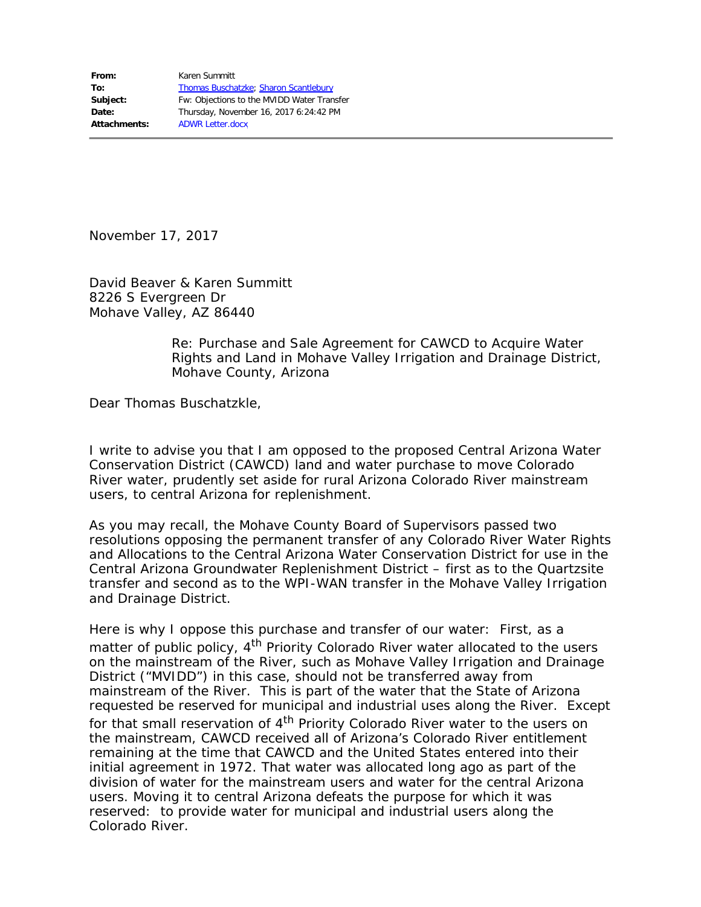November 17, 2017

David Beaver & Karen Summitt 8226 S Evergreen Dr Mohave Valley, AZ 86440

> Re: Purchase and Sale Agreement for CAWCD to Acquire Water Rights and Land in Mohave Valley Irrigation and Drainage District, Mohave County, Arizona

Dear Thomas Buschatzkle,

I write to advise you that I am opposed to the proposed Central Arizona Water Conservation District (CAWCD) land and water purchase to move Colorado River water, prudently set aside for rural Arizona Colorado River mainstream users, to central Arizona for replenishment.

As you may recall, the Mohave County Board of Supervisors passed two resolutions opposing the permanent transfer of any Colorado River Water Rights and Allocations to the Central Arizona Water Conservation District for use in the Central Arizona Groundwater Replenishment District – first as to the Quartzsite transfer and second as to the WPI-WAN transfer in the Mohave Valley Irrigation and Drainage District.

Here is why I oppose this purchase and transfer of our water: First, as a matter of public policy,  $4<sup>th</sup>$  Priority Colorado River water allocated to the users on the mainstream of the River, such as Mohave Valley Irrigation and Drainage District ("MVIDD") in this case, should not be transferred away from mainstream of the River. This is part of the water that the State of Arizona requested be reserved for municipal and industrial uses along the River. Except for that small reservation of 4<sup>th</sup> Priority Colorado River water to the users on the mainstream, CAWCD received all of Arizona's Colorado River entitlement remaining at the time that CAWCD and the United States entered into their initial agreement in 1972. That water was allocated long ago as part of the division of water for the mainstream users and water for the central Arizona users. Moving it to central Arizona defeats the purpose for which it was reserved: to provide water for municipal and industrial users along the Colorado River.